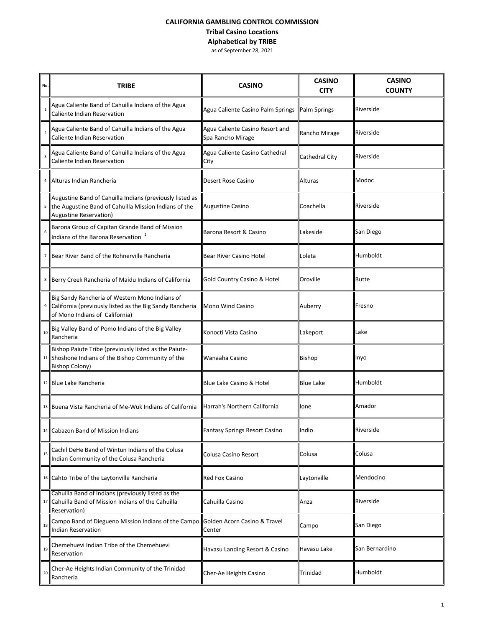### **CALIFORNIA GAMBLING CONTROL COMMISSION Tribal Casino Locations Alphabetical by TRIBE** as of September 28, 2021

| No.            | <b>TRIBE</b>                                                                                                                                              | <b>CASINO</b>                                        | <b>CASINO</b><br><b>CITY</b> | <b>CASINO</b><br><b>COUNTY</b> |  |
|----------------|-----------------------------------------------------------------------------------------------------------------------------------------------------------|------------------------------------------------------|------------------------------|--------------------------------|--|
| $\mathbf{1}$   | Agua Caliente Band of Cahuilla Indians of the Agua<br>Caliente Indian Reservation                                                                         | Agua Caliente Casino Palm Springs                    | Palm Springs                 | Riverside                      |  |
| $\overline{2}$ | Agua Caliente Band of Cahuilla Indians of the Agua<br>Caliente Indian Reservation                                                                         | Agua Caliente Casino Resort and<br>Spa Rancho Mirage | Rancho Mirage                | Riverside                      |  |
|                | Agua Caliente Band of Cahuilla Indians of the Agua<br>Caliente Indian Reservation                                                                         | Agua Caliente Casino Cathedral<br>City               | Cathedral City               | Riverside                      |  |
|                | 4   Alturas Indian Rancheria                                                                                                                              | Desert Rose Casino                                   | Alturas                      | Modoc                          |  |
|                | Augustine Band of Cahuilla Indians (previously listed as<br><sup>5</sup> the Augustine Band of Cahuilla Mission Indians of the<br>Augustine Reservation)  | <b>Augustine Casino</b>                              | Coachella                    | Riverside                      |  |
| 6              | Barona Group of Capitan Grande Band of Mission<br>Indians of the Barona Reservation $1$                                                                   | Barona Resort & Casino                               | Lakeside                     | San Diego                      |  |
|                | <sup>7</sup> Bear River Band of the Rohnerville Rancheria                                                                                                 | Bear River Casino Hotel                              | Loleta                       | Humboldt                       |  |
|                | 8 Berry Creek Rancheria of Maidu Indians of California                                                                                                    | Gold Country Casino & Hotel                          | Oroville                     | <b>Butte</b>                   |  |
|                | Big Sandy Rancheria of Western Mono Indians of<br><sup>9</sup> California (previously listed as the Big Sandy Rancheria<br>of Mono Indians of California) | Mono Wind Casino                                     | Auberry                      | Fresno                         |  |
| 10             | Big Valley Band of Pomo Indians of the Big Valley<br>Rancheria                                                                                            | Konocti Vista Casino                                 | Lakeport                     | Lake                           |  |
|                | Bishop Paiute Tribe (previously listed as the Paiute-<br><sup>11</sup> Shoshone Indians of the Bishop Community of the<br><b>Bishop Colony)</b>           | Wanaaha Casino                                       | <b>Bishop</b>                | Inyo                           |  |
|                | 12 Blue Lake Rancheria                                                                                                                                    | Blue Lake Casino & Hotel                             | <b>Blue Lake</b>             | Humboldt                       |  |
|                | 13 <b>Buena Vista Rancheria of Me-Wuk Indians of California</b>                                                                                           | Harrah's Northern California                         | lone                         | Amador                         |  |
|                | 14 Cabazon Band of Mission Indians                                                                                                                        | Fantasy Springs Resort Casino                        | Indio                        | Riverside                      |  |
| 15             | Cachil DeHe Band of Wintun Indians of the Colusa<br>Indian Community of the Colusa Rancheria                                                              | Colusa Casino Resort                                 | Colusa                       | Colusa                         |  |
|                | 16 Cahto Tribe of the Laytonville Rancheria                                                                                                               | <b>Red Fox Casino</b>                                | Laytonville                  | Mendocino                      |  |
|                | Cahuilla Band of Indians (previously listed as the<br>17 Cahuilla Band of Mission Indians of the Cahuilla<br>Reservation)                                 | Cahuilla Casino                                      | Anza                         | Riverside                      |  |
| 18             | Campo Band of Diegueno Mission Indians of the Campo<br>Indian Reservation                                                                                 | Golden Acorn Casino & Travel<br>Center               | Campo                        | San Diego                      |  |
| 19             | Chemehuevi Indian Tribe of the Chemehuevi<br>Reservation                                                                                                  | Havasu Landing Resort & Casino                       | Havasu Lake                  | San Bernardino                 |  |
| 20             | Cher-Ae Heights Indian Community of the Trinidad<br>Rancheria                                                                                             | Cher-Ae Heights Casino                               | Trinidad                     | Humboldt                       |  |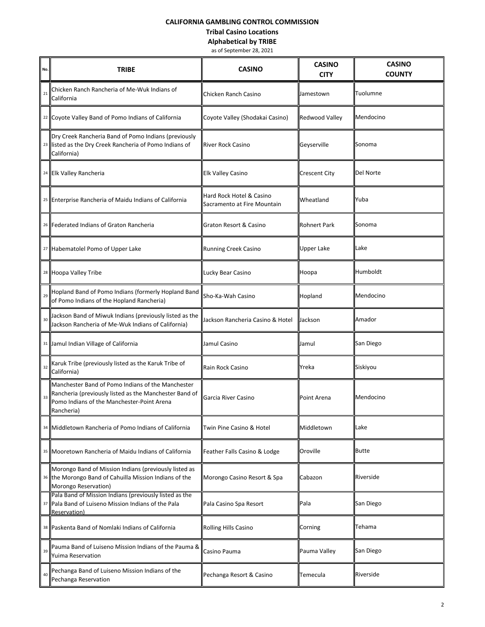# **CALIFORNIA GAMBLING CONTROL COMMISSION**

#### **Tribal Casino Locations**

**Alphabetical by TRIBE**

as of September 28, 2021

| No. | TRIBE                                                                                                                                                                   | <b>CASINO</b>                                           | <b>CASINO</b><br><b>CITY</b> | <b>CASINO</b><br><b>COUNTY</b> |  |
|-----|-------------------------------------------------------------------------------------------------------------------------------------------------------------------------|---------------------------------------------------------|------------------------------|--------------------------------|--|
| 21  | Chicken Ranch Rancheria of Me-Wuk Indians of<br>California                                                                                                              | Chicken Ranch Casino                                    | Jamestown                    | Tuolumne                       |  |
|     | <sup>22</sup> Coyote Valley Band of Pomo Indians of California                                                                                                          | Coyote Valley (Shodakai Casino)                         | Redwood Valley               | Mendocino                      |  |
|     | Dry Creek Rancheria Band of Pomo Indians (previously<br>23 listed as the Dry Creek Rancheria of Pomo Indians of<br>California)                                          | <b>River Rock Casino</b>                                | Geyserville                  | Sonoma                         |  |
|     | 24 Elk Valley Rancheria                                                                                                                                                 | <b>Elk Valley Casino</b>                                | Crescent City                | Del Norte                      |  |
|     | 25 Enterprise Rancheria of Maidu Indians of California                                                                                                                  | Hard Rock Hotel & Casino<br>Sacramento at Fire Mountain | Wheatland                    | Yuba                           |  |
|     | 26   Federated Indians of Graton Rancheria                                                                                                                              | Graton Resort & Casino                                  | Rohnert Park                 | Sonoma                         |  |
|     | 27 Habematolel Pomo of Upper Lake                                                                                                                                       | <b>Running Creek Casino</b>                             | <b>Upper Lake</b>            | Lake                           |  |
|     | <sup>28</sup> Hoopa Valley Tribe                                                                                                                                        | Lucky Bear Casino                                       | Hoopa                        | Humboldt                       |  |
| 29  | Hopland Band of Pomo Indians (formerly Hopland Band<br>of Pomo Indians of the Hopland Rancheria)                                                                        | Sho-Ka-Wah Casino                                       | Hopland                      | Mendocino                      |  |
| 30  | Jackson Band of Miwuk Indians (previously listed as the<br>Jackson Rancheria of Me-Wuk Indians of California)                                                           | Jackson Rancheria Casino & Hotel                        | Jackson                      | Amador                         |  |
|     | 31 Jamul Indian Village of California                                                                                                                                   | Jamul Casino                                            | Jamul                        | San Diego                      |  |
| 32  | Karuk Tribe (previously listed as the Karuk Tribe of<br>California)                                                                                                     | Rain Rock Casino                                        | Yreka                        | Siskiyou                       |  |
| 33  | Manchester Band of Pomo Indians of the Manchester<br>Rancheria (previously listed as the Manchester Band of<br>Pomo Indians of the Manchester-Point Arena<br>Rancheria) | Garcia River Casino                                     | Point Arena                  | Mendocino                      |  |
|     | 34 Middletown Rancheria of Pomo Indians of California                                                                                                                   | Twin Pine Casino & Hotel                                | Middletown                   | Lake                           |  |
|     | 35 Mooretown Rancheria of Maidu Indians of California                                                                                                                   | Feather Falls Casino & Lodge                            | Oroville                     | <b>Butte</b>                   |  |
|     | Morongo Band of Mission Indians (previously listed as<br>36 the Morongo Band of Cahuilla Mission Indians of the<br>Morongo Reservation)                                 | Morongo Casino Resort & Spa                             | Cabazon                      | Riverside                      |  |
|     | Pala Band of Mission Indians (previously listed as the<br>37 Pala Band of Luiseno Mission Indians of the Pala<br><b>Reservation</b> )                                   | Pala Casino Spa Resort                                  | Pala                         | San Diego                      |  |
|     | 38 Paskenta Band of Nomlaki Indians of California                                                                                                                       | Rolling Hills Casino                                    | Corning                      | Tehama                         |  |
| 39  | Pauma Band of Luiseno Mission Indians of the Pauma &<br>Yuima Reservation                                                                                               | Casino Pauma                                            | Pauma Valley                 | San Diego                      |  |
| 40  | Pechanga Band of Luiseno Mission Indians of the<br>Pechanga Reservation                                                                                                 | Pechanga Resort & Casino                                | Temecula                     | Riverside                      |  |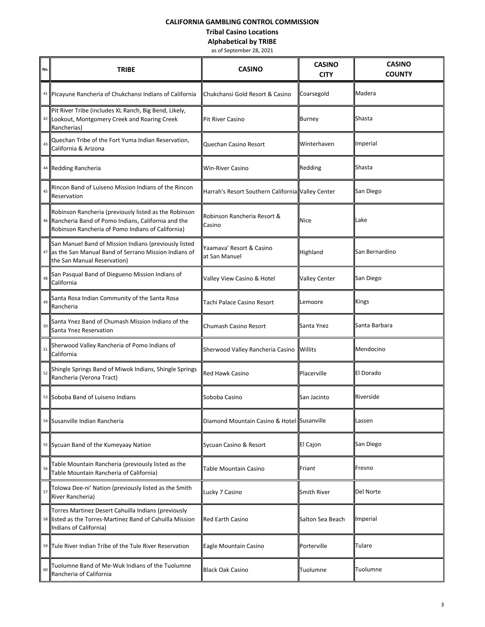# **CALIFORNIA GAMBLING CONTROL COMMISSION**

#### **Tribal Casino Locations**

**Alphabetical by TRIBE**

as of September 28, 2021

| No. | <b>TRIBE</b>                                                                                                                                                     | <b>CASINO</b>                                     | <b>CASINO</b><br><b>CITY</b> | <b>CASINO</b><br><b>COUNTY</b> |  |
|-----|------------------------------------------------------------------------------------------------------------------------------------------------------------------|---------------------------------------------------|------------------------------|--------------------------------|--|
|     | 41 Picayune Rancheria of Chukchansi Indians of California                                                                                                        | Chukchansi Gold Resort & Casino                   | Coarsegold                   | Madera                         |  |
| 42  | Pit River Tribe (includes XL Ranch, Big Bend, Likely,<br>Lookout, Montgomery Creek and Roaring Creek<br>Rancherias)                                              | <b>Pit River Casino</b>                           | <b>Burney</b>                | Shasta                         |  |
| 43  | Quechan Tribe of the Fort Yuma Indian Reservation,<br>California & Arizona                                                                                       | Quechan Casino Resort                             | Winterhaven                  | Imperial                       |  |
|     | 44 Redding Rancheria                                                                                                                                             | <b>Win-River Casino</b>                           | Redding                      | Shasta                         |  |
| 45  | Rincon Band of Luiseno Mission Indians of the Rincon<br>Reservation                                                                                              | Harrah's Resort Southern California Valley Center |                              | San Diego                      |  |
|     | Robinson Rancheria (previously listed as the Robinson<br>Rancheria Band of Pomo Indians, California and the<br>Robinson Rancheria of Pomo Indians of California) | Robinson Rancheria Resort &<br>Casino             | <b>Nice</b>                  | Lake                           |  |
|     | San Manuel Band of Mission Indians (previously listed<br>as the San Manual Band of Serrano Mission Indians of<br>the San Manual Reservation)                     | Yaamava' Resort & Casino<br>at San Manuel         | Highland                     | San Bernardino                 |  |
| 48  | San Pasqual Band of Diegueno Mission Indians of<br>California                                                                                                    | Valley View Casino & Hotel                        | <b>Valley Center</b>         | San Diego                      |  |
| 49  | Santa Rosa Indian Community of the Santa Rosa<br>Rancheria                                                                                                       | Tachi Palace Casino Resort                        | Lemoore                      | Kings                          |  |
| 50  | Santa Ynez Band of Chumash Mission Indians of the<br>Santa Ynez Reservation                                                                                      | Chumash Casino Resort                             | Santa Ynez                   | <b>I</b> Santa Barbara         |  |
| 51  | Sherwood Valley Rancheria of Pomo Indians of<br>California                                                                                                       | Sherwood Valley Rancheria Casino                  | <b>Willits</b>               | Mendocino                      |  |
| 52  | Shingle Springs Band of Miwok Indians, Shingle Springs<br>Rancheria (Verona Tract)                                                                               | <b>Red Hawk Casino</b>                            | Placerville                  | El Dorado                      |  |
|     | 53 Soboba Band of Luiseno Indians                                                                                                                                | Soboba Casino                                     | San Jacinto                  | Riverside                      |  |
| 54  | Susanville Indian Rancheria                                                                                                                                      | Diamond Mountain Casino & Hotel Susanville        |                              | Lassen                         |  |
|     | 55 Sycuan Band of the Kumeyaay Nation                                                                                                                            | Sycuan Casino & Resort                            | El Cajon                     | San Diego                      |  |
| 56  | Table Mountain Rancheria (previously listed as the<br>Table Mountain Rancheria of California)                                                                    | Table Mountain Casino                             | Friant                       | Fresno                         |  |
| 57  | Tolowa Dee-ni' Nation (previously listed as the Smith<br>River Rancheria)                                                                                        | Lucky 7 Casino                                    | Smith River                  | Del Norte                      |  |
| 58  | Torres Martinez Desert Cahuilla Indians (previously<br>listed as the Torres-Martinez Band of Cahuilla Mission<br>Indians of California)                          | <b>Red Earth Casino</b>                           | Salton Sea Beach             | Imperial                       |  |
|     | 59 Tule River Indian Tribe of the Tule River Reservation                                                                                                         | Eagle Mountain Casino                             | Porterville                  | Tulare                         |  |
| 60  | Tuolumne Band of Me-Wuk Indians of the Tuolumne<br>Rancheria of California                                                                                       | <b>Black Oak Casino</b>                           | Tuolumne                     | Tuolumne                       |  |